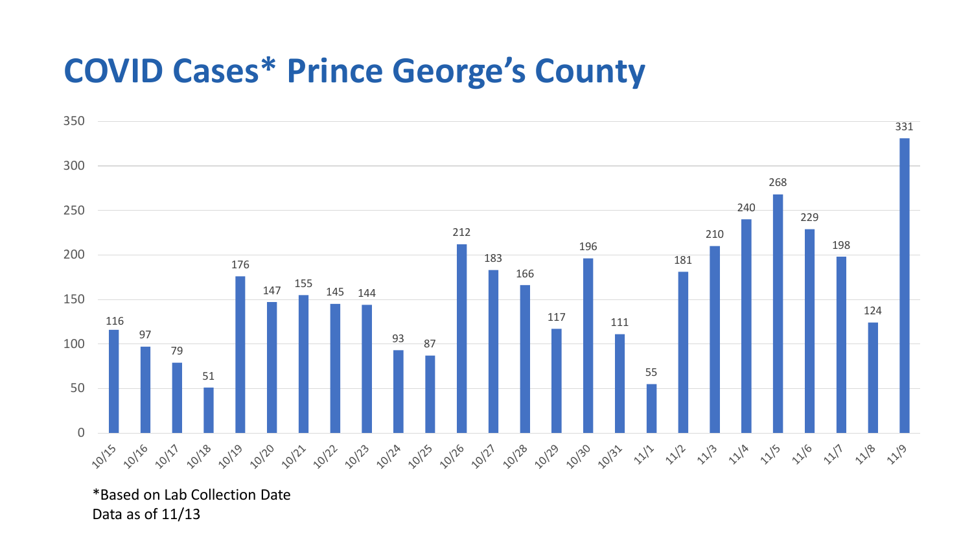## **COVID Cases\* Prince George's County**



\*Based on Lab Collection Date Data as of 11/13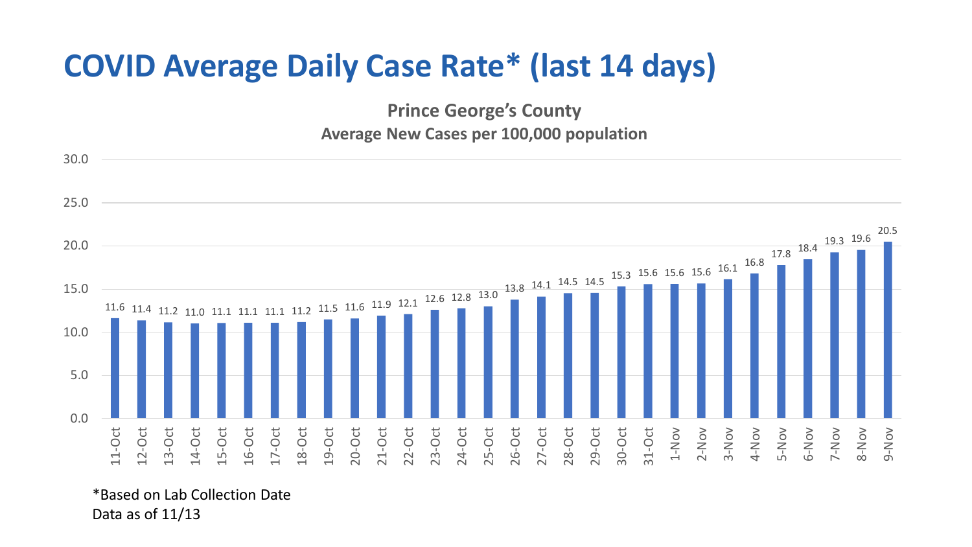## **COVID Average Daily Case Rate\* (last 14 days)**

**Prince George's County Average New Cases per 100,000 population**



\*Based on Lab Collection Date Data as of 11/13